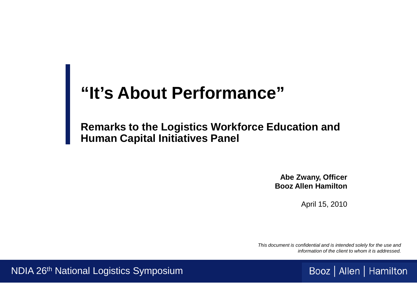# **"It's About Performance"**

#### **Remarks to the Logistics Workforce Education and Human Capital Initiatives Panel**

**Abe Zwany, Officer Booz Allen Hamilton**

April 15, 2010

*This document is confidential and is intended solely for the use and information of the client to whom it is addressed.*



NDIA 26th National Logistics Symposium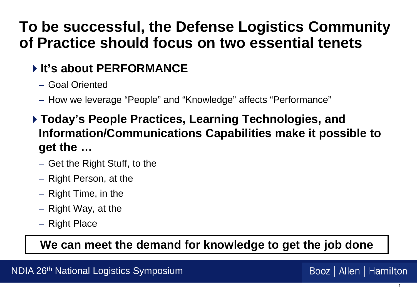# **To be successful, the Defense Logistics Community of Practice should focus on two essential tenets**

### **It's about PERFORMANCE**

- Goal Oriented
- How we leverage "People" and "Knowledge" affects "Performance"
- **Today's People Practices, Learning Technologies, and Information/Communications Capabilities make it possible to get the …**
	- Get the Right Stuff, to the
	- Right Person, at the
	- Right Time, in the
	- Right Way, at the
	- Right Place

**We can meet the demand for knowledge to get the job done**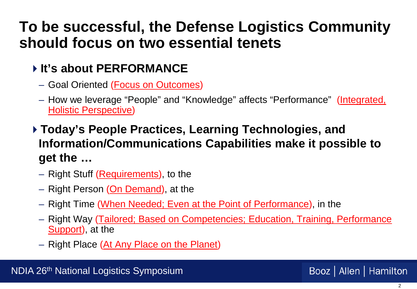# **To be successful, the Defense Logistics Community should focus on two essential tenets**

#### **It's about PERFORMANCE**

- Goal Oriented (Focus on Outcomes)
- How we leverage "People" and "Knowledge" affects "Performance" (Integrated, **Holistic Perspective)**
- **Today's People Practices, Learning Technologies, and Information/Communications Capabilities make it possible to get the …**
	- Right Stuff (Requirements), to the
	- Right Person (On Demand), at the
	- Right Time (When Needed; Even at the Point of Performance), in the
	- Right Way (Tailored; Based on Competencies; Education, Training, Performance Support), at the
	- Right Place (At Any Place on the Planet)